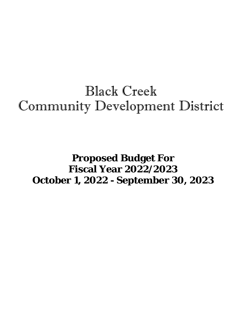# Black Creek Community Development District

# **Proposed Budget For Fiscal Year 2022/2023 October 1, 2022 - September 30, 2023**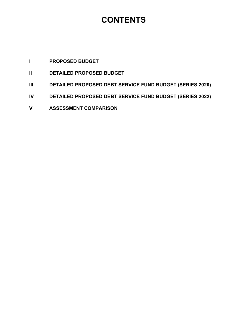## **CONTENTS**

### **I PROPOSED BUDGET**

- **II DETAILED PROPOSED BUDGET**
- **III DETAILED PROPOSED DEBT SERVICE FUND BUDGET (SERIES 2020)**
- **IV DETAILED PROPOSED DEBT SERVICE FUND BUDGET (SERIES 2022)**
- **V ASSESSMENT COMPARISON**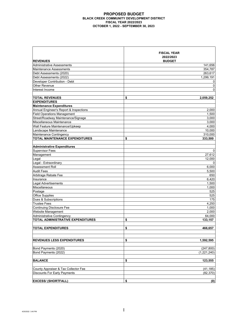#### **PROPOSED BUDGET BLACK CREEK COMMUNITY DEVELOPMENT DISTRICT FISCAL YEAR 2022/2023 OCTOBER 1, 2022 - SEPTEMBER 30, 2023**

| <b>REVENUES</b>                        | <b>FISCAL YEAR</b><br>2022/2023<br><b>BUDGET</b> |
|----------------------------------------|--------------------------------------------------|
| Administrative Assessments             | 141,656                                          |
| <b>Maintenance Assessments</b>         | 354.787                                          |
| Debt Assessments (2020)                | 263,617                                          |
| Debt Assessments (2022)                | 1,299,191                                        |
| Developer Contribution - Debt          | 0                                                |
| Other Revenue                          | 0                                                |
| Interest Income                        | $\mathbf 0$                                      |
|                                        |                                                  |
| <b>TOTAL REVENUES</b>                  | \$<br>2,059,252                                  |
| <b>EXPENDITURES</b>                    |                                                  |
| <b>Maintenance Expenditures</b>        |                                                  |
| Annual Engineer's Report & Inspections | 2,000                                            |
| <b>Field Operations Management</b>     | 1,500                                            |
| Street/Roadway Maintenance/Signage     | 3,000                                            |
| Miscellaneous Maintenance              | 3,000                                            |
| Wall Feature Maintenance/Upkeep        | 4,000                                            |
| Landscape Maintenance                  | 10,000                                           |
| Maintenance Contingency                | 310,000                                          |
| <b>TOTAL MAINTENANCE EXPENDITURES</b>  | \$<br>333,500                                    |
|                                        |                                                  |
| <b>Administrative Expenditures</b>     |                                                  |
| <b>Supervisor Fees</b>                 | 0                                                |
| Management                             | 27,612                                           |
| Legal                                  | 12,000                                           |
| Legal - Extraordinary                  | 0                                                |
| Assessment Roll                        | 6,000                                            |
| <b>Audit Fees</b>                      | 5,500                                            |
| Arbitrage Rebate Fee                   | 650                                              |
| Insurance                              | 6,420                                            |
| <b>Legal Advertisements</b>            | 1,500                                            |
| Miscellaneous                          | 1,000                                            |
| Postage                                | 525                                              |
| <b>Office Supplies</b>                 | 525                                              |
| Dues & Subscriptions                   | 175                                              |
| <b>Trustee Fees</b>                    | 4,250                                            |
| <b>Continuing Disclosure Fee</b>       | 1,000                                            |
| Website Management                     | 2,000                                            |
| Administrative Contingency             | 64,000                                           |
| TOTAL ADMINISTRATIVE EXPENDITURES      | \$<br>133,157                                    |
|                                        |                                                  |
| TOTAL EXPENDITURES                     | \$<br>466,657                                    |
|                                        |                                                  |
|                                        | \$                                               |
| <b>REVENUES LESS EXPENDITURES</b>      | 1,592,595                                        |
| Bond Payments (2020)                   | (247, 800)                                       |
| Bond Payments (2022)                   | (1,221,240)                                      |
|                                        |                                                  |
| <b>BALANCE</b>                         | \$<br>123,555                                    |
|                                        |                                                  |
| County Appraiser & Tax Collector Fee   | (41, 185)                                        |
| <b>Discounts For Early Payments</b>    | (82, 370)                                        |
|                                        |                                                  |
| <b>EXCESS/ (SHORTFALL)</b>             | \$<br>(0)                                        |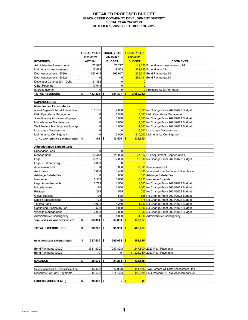#### **DETAILED PROPOSED BUDGET BLACK CREEK COMMUNITY DEVELOPMENT DISTRICT FISCAL YEAR 2022/2023 OCTOBER 1, 2022 - SEPTEMBER 30, 2023**

|                                          | <b>FISCAL YEAR</b> | <b>FISCAL YEAR</b>       | <b>FISCAL YEAR</b>     |                                                |
|------------------------------------------|--------------------|--------------------------|------------------------|------------------------------------------------|
|                                          | 2020/2021          | 2021/2022                | 2022/2023              |                                                |
| <b>REVENUES</b>                          | <b>ACTUAL</b>      | <b>BUDGET</b>            | <b>BUDGET</b>          | <b>COMMENTS</b>                                |
| <b>Administrative Assessments</b>        | 72,997             | 73,227                   |                        | 141,656 Expenditures Less Interest / 94        |
| Maintenance Assessments                  | 17,879             | 17,553                   |                        | 354,787 Expenditures/.94                       |
| Debt Assessments (2020)                  | 263,618            | 263,617                  |                        | 263.617 Bond Payments/.94                      |
| Debt Assessments (2022)                  | $\Omega$           | 0                        |                        | 1,299,191 Bond Payments/.94                    |
| Developer Contribution - Debt            | 81,388             | 0                        | $\overline{0}$         |                                                |
| Other Revenue                            | 17.944             | 0                        | $\overline{0}$         |                                                |
| Interest Income                          | $\Omega$           | 0                        |                        | O Projected At \$0 Per Month                   |
| <b>TOTAL REVENUES</b>                    | \$<br>453.826      | 354.397<br>\$            | 2,059,252<br>$\bullet$ |                                                |
| <b>EXPENDITURES</b>                      |                    |                          |                        |                                                |
| <b>Maintenance Expenditures</b>          |                    |                          |                        |                                                |
|                                          | 1,165              | 2,000                    |                        | 2,000 No Change From 2021/2022 Budget          |
| Annual Engineer's Report & Inspections   | 0                  |                          |                        |                                                |
| <b>Field Operations Management</b>       | 0                  | 1,500                    |                        | 1,500 Field Operations Management              |
| Street/Roadway Maintenance/Signage       | 0                  | 3,000                    |                        | 3,000 No Change From 2021/2022 Budget          |
| Miscellaneous Maintenance                |                    | 3,000                    |                        | 3,000 No Change From 2021/2022 Budget          |
| Wall Feature Maintenance/Upkeep          | 0                  | 4,000                    |                        | 4,000 No Change From 2021/2022 Budget          |
| Landscape Maintenance                    | 0                  | 0                        |                        | 10,000 Landscape Maintenance                   |
| Maintenance Contingency                  | $\Omega$           | 3.000                    |                        | 310,000 Maintenance Contingency                |
| TOTAL MAINTENANCE EXPENDITURES           | \$<br>1.165        | \$<br>16,500             | 333,500<br>\$          |                                                |
|                                          |                    |                          |                        |                                                |
| <b>Administrative Expenditures</b>       |                    |                          | $\Omega$               |                                                |
| <b>Supervisor Fees</b>                   | 0                  | 0                        |                        |                                                |
| Management                               | 26,448             | 26,808                   |                        | 27,612 CPI Adjustment (Capped at 3%)           |
| Legal                                    | 13,265             | 12,000                   |                        | 12,000 No Change From 2021/2022 Budget         |
| Legal - Extraordinary                    | 6.000              | 0                        | $\overline{0}$         |                                                |
| <b>Assessment Roll</b>                   | 0                  | 6,000                    |                        | 6.000 Assessment Roll                          |
| <b>Audit Fees</b>                        | 3,800              | 5,400                    |                        | 5,500 Increased Due To Second Bond Issue       |
| Arbitrage Rebate Fee                     | 0                  | 650                      |                        | 650 Arbitrage Rebate Fee                       |
| Insurance                                | 5,513              | 6,000                    |                        | 6,420 Insurance Estimate                       |
| Legal Advertisements                     | 2,729              | 1,500                    |                        | 1,500 No Change From 2021/2022 Budget          |
| Miscellaneous                            | 190                | 1,000                    |                        | 1,000 No Change From 2021/2022 Budget          |
| Postage                                  | 284                | 525                      |                        | 525 No Change From 2021/2022 Budget            |
| <b>Office Supplies</b>                   | 126                | 525                      |                        | 525 No Change From 2021/2022 Budget            |
| Dues & Subscriptions                     | 175                | 175                      |                        | 175 No Change From 2021/2022 Budget            |
| <b>Trustee Fees</b>                      | 4,031              | 4,250                    |                        | 4,250 No Change From 2021/2022 Budget          |
| <b>Continuing Disclosure Fee</b>         | 500                | 1,000                    |                        | 1,000 No Change From 2021/2022 Budget          |
| <b>Website Management</b>                | 2,000              | 2,000                    |                        | 2,000 No Change From 2021/2022 Budget          |
| Administrative Contingency               | 0                  | 1,000                    |                        | 64,000 Administrative Contingency              |
| <b>TOTAL ADMINISTRATIVE EXPENDITURES</b> | \$<br>65,061       | \$<br>68,833             | \$<br>133,157          |                                                |
|                                          |                    |                          |                        |                                                |
| <b>TOTAL EXPENDITURES</b>                | \$<br>66,226       | 85,333   <mark>\$</mark> | 466,657                |                                                |
|                                          |                    |                          |                        |                                                |
| <b>REVENUES LESS EXPENDITURES</b>        | \$<br>387,600      | \$<br>269,064            | 1,592,595<br>$\bullet$ |                                                |
|                                          |                    |                          |                        |                                                |
| Bond Payments (2020)                     | (331, 930)         | (247, 800)               |                        | $(247,800)$ 2023 P & I Payments                |
| Bond Payments (2022)                     | 0                  | 0                        |                        | $(1,221,240)$ 2023 P & I Payments              |
|                                          |                    |                          |                        |                                                |
| <b>BALANCE</b>                           | \$<br>55,670       | \$<br>21,264             | $\bullet$<br>123,555   |                                                |
|                                          |                    |                          |                        |                                                |
| County Appraiser & Tax Collector Fee     | (3, 403)           | (7,088)                  |                        | (41,185) Two Percent Of Total Assessment Roll  |
| <b>Discounts For Early Payments</b>      | (14,179)           | (14,176)                 |                        | (82,370) Four Percent Of Total Assessment Roll |
|                                          |                    |                          |                        |                                                |
| <b>EXCESS/ (SHORTFALL)</b>               | \$<br>$38,088$ \$  | $\blacksquare$           | \$<br>(0)              |                                                |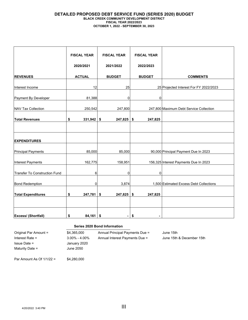#### **DETAILED PROPOSED DEBT SERVICE FUND (SERIES 2020) BUDGET BLACK CREEK COMMUNITY DEVELOPMENT DISTRICT FISCAL YEAR 2022/2023 OCTOBER 1, 2022 - SEPTEMBER 30, 2023**

|                                      | <b>FISCAL YEAR</b><br>2020/2021 | <b>FISCAL YEAR</b><br>2021/2022 | <b>FISCAL YEAR</b><br>2022/2023 |                                         |
|--------------------------------------|---------------------------------|---------------------------------|---------------------------------|-----------------------------------------|
|                                      |                                 |                                 |                                 |                                         |
| <b>REVENUES</b>                      | <b>ACTUAL</b>                   | <b>BUDGET</b>                   | <b>BUDGET</b>                   | <b>COMMENTS</b>                         |
| Interest Income                      | 12                              | 25                              |                                 | 25 Projected Interest For FY 2022/2023  |
| Payment By Developer                 | 81,388                          | 0                               | $\mathbf 0$                     |                                         |
| <b>NAV Tax Collection</b>            | 250,542                         | 247,800                         |                                 | 247,800 Maximum Debt Service Collection |
| <b>Total Revenues</b>                | \$<br>331,942                   | \$<br>247,825                   | 247,825<br>\$                   |                                         |
|                                      |                                 |                                 |                                 |                                         |
| <b>EXPENDITURES</b>                  |                                 |                                 |                                 |                                         |
| <b>Principal Payments</b>            | 85,000                          | 85,000                          |                                 | 90,000 Principal Payment Due In 2023    |
| Interest Payments                    | 162,775                         | 158,951                         |                                 | 156,325 Interest Payments Due In 2023   |
| <b>Transfer To Construction Fund</b> | 6                               | 0                               | 0                               |                                         |
| <b>Bond Redemption</b>               | 0                               | 3,874                           |                                 | 1,500 Estimated Excess Debt Collections |
| <b>Total Expenditures</b>            | 247,781<br>\$                   | \$<br>247,825                   | 247,825<br>\$                   |                                         |
|                                      |                                 |                                 |                                 |                                         |
| <b>Excess/ (Shortfall)</b>           | 84,161<br>\$                    | \$<br>$\blacksquare$            | \$                              |                                         |

|                             |                   | Series 2020 Bond Information    |                           |  |  |
|-----------------------------|-------------------|---------------------------------|---------------------------|--|--|
| Original Par Amount =       | \$4,365,000       | Annual Principal Payments Due = | June 15th                 |  |  |
| Interest Rate $=$           | $3.00\% - 4.00\%$ | Annual Interest Payments Due =  | June 15th & December 15th |  |  |
| $Is sue Date =$             | January 2020      |                                 |                           |  |  |
| Maturity Date =             | June 2050         |                                 |                           |  |  |
| Par Amount As Of $1/1/22 =$ | \$4,280,000       |                                 |                           |  |  |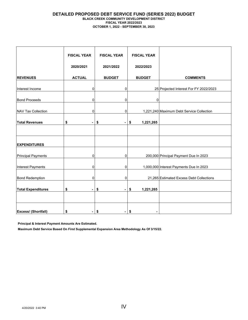#### **DETAILED PROPOSED DEBT SERVICE FUND (SERIES 2022) BUDGET BLACK CREEK COMMUNITY DEVELOPMENT DISTRICT FISCAL YEAR 2022/2023 OCTOBER 1, 2022 - SEPTEMBER 30, 2023**

|                            | <b>FISCAL YEAR</b>   | <b>FISCAL YEAR</b>                 | <b>FISCAL YEAR</b> |                                           |  |  |  |
|----------------------------|----------------------|------------------------------------|--------------------|-------------------------------------------|--|--|--|
|                            | 2020/2021            | 2021/2022<br>2022/2023             |                    |                                           |  |  |  |
| <b>REVENUES</b>            | <b>ACTUAL</b>        | <b>BUDGET</b>                      | <b>BUDGET</b>      | <b>COMMENTS</b>                           |  |  |  |
| Interest Income            | $\mathbf 0$          |                                    | 0                  | 25 Projected Interest For FY 2022/2023    |  |  |  |
| <b>Bond Proceeds</b>       | 0                    |                                    | 0<br>0             |                                           |  |  |  |
| <b>NAV Tax Collection</b>  | 0                    |                                    | $\mathbf 0$        | 1,221,240 Maximum Debt Service Collection |  |  |  |
| <b>Total Revenues</b>      | \$<br>Ξ.             | \$<br>$\qquad \qquad \blacksquare$ | \$<br>1,221,265    |                                           |  |  |  |
|                            |                      |                                    |                    |                                           |  |  |  |
| <b>EXPENDITURES</b>        |                      |                                    |                    |                                           |  |  |  |
| <b>Principal Payments</b>  | $\mathbf 0$          |                                    | $\overline{0}$     | 200,000 Principal Payment Due In 2023     |  |  |  |
| Interest Payments          | $\mathbf 0$          |                                    | $\overline{0}$     | 1,000,000 Interest Payments Due In 2023   |  |  |  |
| <b>Bond Redemption</b>     | 0                    |                                    | $\overline{0}$     | 21,265 Estimated Excess Debt Collections  |  |  |  |
| <b>Total Expenditures</b>  | \$<br>$\blacksquare$ | \$<br>$\blacksquare$               | \$<br>1,221,265    |                                           |  |  |  |
|                            |                      |                                    |                    |                                           |  |  |  |
| <b>Excess/ (Shortfall)</b> | \$<br>$\blacksquare$ | \$<br>۰                            | \$                 |                                           |  |  |  |

**Principal & Interest Payment Amounts Are Estimated.**

**Maximum Debt Service Based On First Supplemental Expansion Area Methodology As Of 3/15/22.**